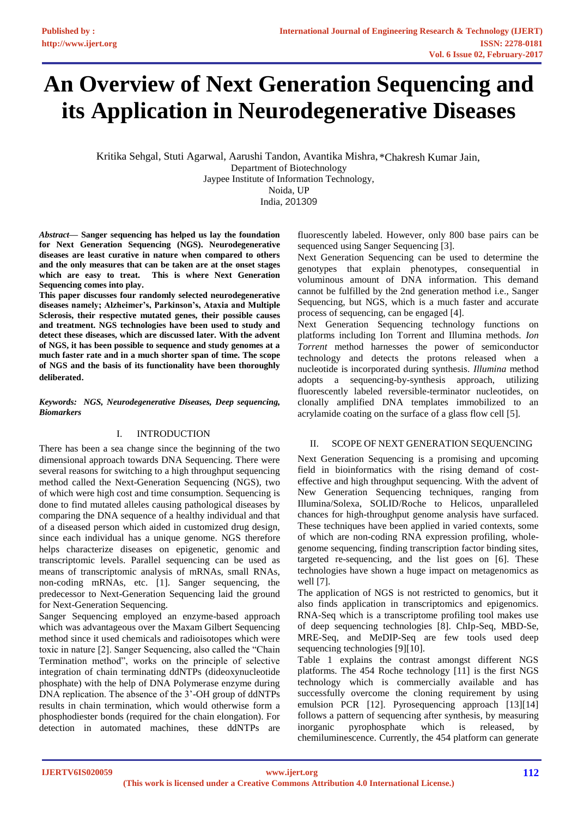# **An Overview of Next Generation Sequencing and its Application in Neurodegenerative Diseases**

Kritika Sehgal, Stuti Agarwal, Aarushi Tandon, Avantika Mishra, \*Chakresh Kumar Jain,Department of Biotechnology Jaypee Institute of Information Technology, Noida, UP India, 201309

*Abstract***— Sanger sequencing has helped us lay the foundation for Next Generation Sequencing (NGS). Neurodegenerative diseases are least curative in nature when compared to others and the only measures that can be taken are at the onset stages which are easy to treat. This is where Next Generation Sequencing comes into play.** 

**This paper discusses four randomly selected neurodegenerative diseases namely; Alzheimer's, Parkinson's, Ataxia and Multiple Sclerosis, their respective mutated genes, their possible causes and treatment. NGS technologies have been used to study and detect these diseases, which are discussed later. With the advent of NGS, it has been possible to sequence and study genomes at a much faster rate and in a much shorter span of time. The scope of NGS and the basis of its functionality have been thoroughly deliberated**.

*Keywords: NGS, Neurodegenerative Diseases, Deep sequencing, Biomarkers*

## I. INTRODUCTION

There has been a sea change since the beginning of the two dimensional approach towards DNA Sequencing. There were several reasons for switching to a high throughput sequencing method called the Next-Generation Sequencing (NGS), two of which were high cost and time consumption. Sequencing is done to find mutated alleles causing pathological diseases by comparing the DNA sequence of a healthy individual and that of a diseased person which aided in customized drug design, since each individual has a unique genome. NGS therefore helps characterize diseases on epigenetic, genomic and transcriptomic levels. Parallel sequencing can be used as means of transcriptomic analysis of mRNAs, small RNAs, non-coding mRNAs, etc. [1]. Sanger sequencing, the predecessor to Next-Generation Sequencing laid the ground for Next-Generation Sequencing.

Sanger Sequencing employed an enzyme-based approach which was advantageous over the Maxam Gilbert Sequencing method since it used chemicals and radioisotopes which were toxic in nature [2]. Sanger Sequencing, also called the "Chain Termination method", works on the principle of selective integration of chain terminating ddNTPs (dideoxynucleotide phosphate) with the help of DNA Polymerase enzyme during DNA replication. The absence of the 3'-OH group of ddNTPs results in chain termination, which would otherwise form a phosphodiester bonds (required for the chain elongation). For detection in automated machines, these ddNTPs are

fluorescently labeled. However, only 800 base pairs can be sequenced using Sanger Sequencing [3].

Next Generation Sequencing can be used to determine the genotypes that explain phenotypes, consequential in voluminous amount of DNA information. This demand cannot be fulfilled by the 2nd generation method i.e., Sanger Sequencing, but NGS, which is a much faster and accurate process of sequencing, can be engaged [4].

Next Generation Sequencing technology functions on platforms including Ion Torrent and Illumina methods. *Ion Torrent* method harnesses the power of semiconductor technology and detects the protons released when a nucleotide is incorporated during synthesis. *Illumina* method adopts a sequencing-by-synthesis approach, utilizing fluorescently labeled reversible-terminator nucleotides, on clonally amplified DNA templates immobilized to an acrylamide coating on the surface of a glass flow cell [5].

## II. SCOPE OF NEXT GENERATION SEQUENCING

Next Generation Sequencing is a promising and upcoming field in bioinformatics with the rising demand of costeffective and high throughput sequencing. With the advent of New Generation Sequencing techniques, ranging from Illumina/Solexa, SOLID/Roche to Helicos, unparalleled chances for high-throughput genome analysis have surfaced. These techniques have been applied in varied contexts, some of which are non-coding RNA expression profiling, wholegenome sequencing, finding transcription factor binding sites, targeted re-sequencing, and the list goes on [6]. These technologies have shown a huge impact on metagenomics as well [7].

The application of NGS is not restricted to genomics, but it also finds application in transcriptomics and epigenomics. RNA-Seq which is a transcriptome profiling tool makes use of deep sequencing technologies [8]. ChIp-Seq, MBD-Se, MRE-Seq, and MeDIP-Seq are few tools used deep sequencing technologies [9][10].

Table 1 explains the contrast amongst different NGS platforms. The 454 Roche technology [11] is the first NGS technology which is commercially available and has successfully overcome the cloning requirement by using emulsion PCR [12]. Pyrosequencing approach [13][14] follows a pattern of sequencing after synthesis, by measuring inorganic pyrophosphate which is released, by chemiluminescence. Currently, the 454 platform can generate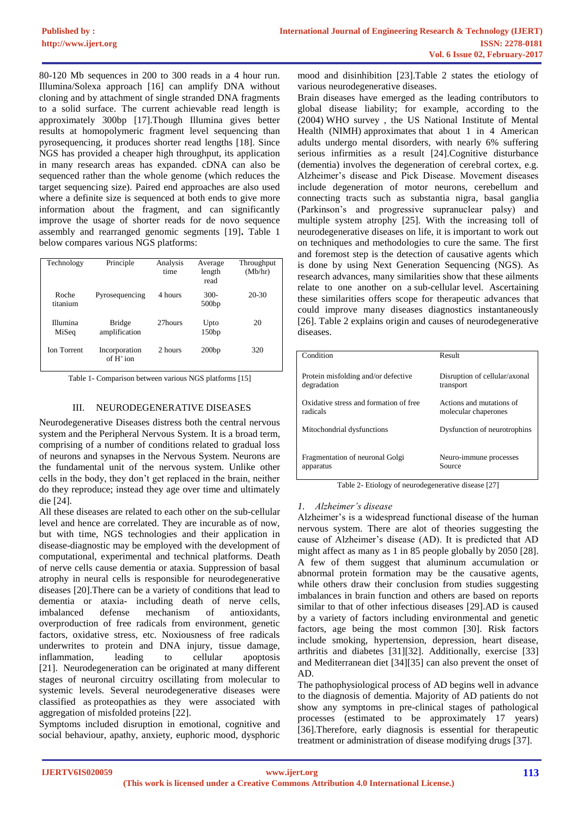80-120 Mb sequences in 200 to 300 reads in a 4 hour run. Illumina/Solexa approach [16] can amplify DNA without cloning and by attachment of single stranded DNA fragments to a solid surface. The current achievable read length is approximately 300bp [17].Though Illumina gives better results at homopolymeric fragment level sequencing than pyrosequencing, it produces shorter read lengths [18]. Since NGS has provided a cheaper high throughput, its application in many research areas has expanded. cDNA can also be sequenced rather than the whole genome (which reduces the target sequencing size). Paired end approaches are also used where a definite size is sequenced at both ends to give more information about the fragment, and can significantly improve the usage of shorter reads for de novo sequence assembly and rearranged genomic segments [19]**.** Table 1 below compares various NGS platforms:

| Technology         | Principle                     | Analysis<br>time | Average<br>length<br>read | Throughput<br>(Mb/hr) |
|--------------------|-------------------------------|------------------|---------------------------|-----------------------|
| Roche<br>titanium  | Pyrosequencing                | 4 hours          | $300-$<br>500bp           | $20-30$               |
| Illumina<br>MiSeq  | Bridge<br>amplification       | 27hours          | Upto<br>150bp             | 20                    |
| <b>Ion Torrent</b> | Incorporation<br>of $H^+$ ion | 2 hours          | 200bp                     | 320                   |

Table 1- Comparison between various NGS platforms [15]

### III. NEURODEGENERATIVE DISEASES

Neurodegenerative Diseases distress both the central nervous system and the Peripheral Nervous System. It is a broad term, comprising of a number of conditions related to gradual loss of neurons and synapses in the Nervous System. Neurons are the fundamental unit of the nervous system. Unlike other cells in the body, they don't get replaced in the brain, neither do they reproduce; instead they age over time and ultimately die [24].

All these diseases are related to each other on the sub-cellular level and hence are correlated. They are incurable as of now, but with time, NGS technologies and their application in disease-diagnostic may be employed with the development of computational, experimental and technical platforms. Death of nerve cells cause dementia or ataxia. Suppression of basal atrophy in neural cells is responsible for neurodegenerative diseases [20].There can be a variety of conditions that lead to dementia or ataxia- including death of nerve cells, imbalanced defense mechanism of antioxidants, overproduction of free radicals from environment, genetic factors, oxidative stress, etc. Noxiousness of free radicals underwrites to protein and DNA injury, tissue damage, inflammation, leading to cellular apoptosis [21]. Neurodegeneration can be originated at many different stages of neuronal circuitry oscillating from molecular to systemic levels. Several neurodegenerative diseases were classified as proteopathies as they were associated with aggregation of misfolded proteins [22].

Symptoms included disruption in emotional, cognitive and social behaviour, apathy, anxiety, euphoric mood, dysphoric

mood and disinhibition [23].Table 2 states the etiology of various neurodegenerative diseases.

Brain diseases have emerged as the leading contributors to global disease liability; for example, according to the (2004) WHO survey , the US National Institute of Mental Health (NIMH) approximates that about 1 in 4 American adults undergo mental disorders, with nearly 6% suffering serious infirmities as a result [24].Cognitive disturbance (dementia) involves the degeneration of cerebral cortex, e.g. Alzheimer's disease and Pick Disease. Movement diseases include degeneration of motor neurons, cerebellum and connecting tracts such as substantia nigra, basal ganglia (Parkinson's and progressive supranuclear palsy) and multiple system atrophy [25]. With the increasing toll of neurodegenerative diseases on life, it is important to work out on techniques and methodologies to cure the same. The first and foremost step is the detection of causative agents which is done by using Next Generation Sequencing (NGS). As research advances, many similarities show that these ailments relate to one another on a sub-cellular level. Ascertaining these similarities offers scope for therapeutic advances that could improve many diseases diagnostics instantaneously [26]. Table 2 explains origin and causes of neurodegenerative diseases.

| Condition                              | Result                        |
|----------------------------------------|-------------------------------|
|                                        |                               |
| Protein misfolding and/or defective    | Disruption of cellular/axonal |
|                                        |                               |
| degradation                            | transport                     |
|                                        |                               |
| Oxidative stress and formation of free | Actions and mutations of      |
| radicals                               | molecular chaperones          |
|                                        |                               |
|                                        |                               |
| Mitochondrial dysfunctions             | Dysfunction of neurotrophins  |
|                                        |                               |
|                                        |                               |
| Fragmentation of neuronal Golgi        | Neuro-immune processes        |
| apparatus                              | Source                        |
|                                        |                               |
|                                        |                               |

Table 2- Etiology of neurodegenerative disease [27]

#### *1. Alzheimer's disease*

Alzheimer's is a widespread functional disease of the human nervous system. There are alot of theories suggesting the cause of Alzheimer's disease (AD). It is predicted that AD might affect as many as 1 in 85 people globally by 2050 [28]. A few of them suggest that aluminum accumulation or abnormal protein formation may be the causative agents, while others draw their conclusion from studies suggesting imbalances in brain function and others are based on reports similar to that of other infectious diseases [29].AD is caused by a variety of factors including environmental and genetic factors, age being the most common [30]. Risk factors include smoking, hypertension, depression, heart disease, arthritis and diabetes [31][32]. Additionally, exercise [33] and Mediterranean diet [34][35] can also prevent the onset of AD.

The pathophysiological process of AD begins well in advance to the diagnosis of dementia. Majority of AD patients do not show any symptoms in pre-clinical stages of pathological processes (estimated to be approximately 17 years) [36].Therefore, early diagnosis is essential for therapeutic treatment or administration of disease modifying drugs [37].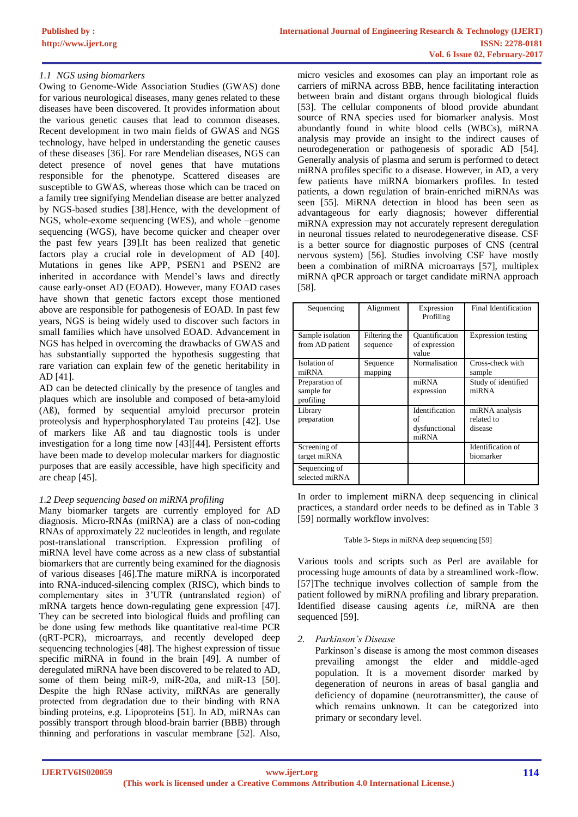## *1.1 NGS using biomarkers*

Owing to Genome-Wide Association Studies (GWAS) done for various neurological diseases, many genes related to these diseases have been discovered. It provides information about the various genetic causes that lead to common diseases. Recent development in two main fields of GWAS and NGS technology, have helped in understanding the genetic causes of these diseases [36]. For rare Mendelian diseases, NGS can detect presence of novel genes that have mutations responsible for the phenotype. Scattered diseases are susceptible to GWAS, whereas those which can be traced on a family tree signifying Mendelian disease are better analyzed by NGS-based studies [38].Hence, with the development of NGS, whole-exome sequencing (WES), and whole –genome sequencing (WGS), have become quicker and cheaper over the past few years [39].It has been realized that genetic factors play a crucial role in development of AD [40]. Mutations in genes like APP, PSEN1 and PSEN2 are inherited in accordance with Mendel's laws and directly cause early-onset AD (EOAD). However, many EOAD cases have shown that genetic factors except those mentioned above are responsible for pathogenesis of EOAD. In past few years, NGS is being widely used to discover such factors in small families which have unsolved EOAD. Advancement in NGS has helped in overcoming the drawbacks of GWAS and has substantially supported the hypothesis suggesting that rare variation can explain few of the genetic heritability in AD [41].

AD can be detected clinically by the presence of tangles and plaques which are insoluble and composed of beta-amyloid (Aß), formed by sequential amyloid precursor protein proteolysis and hyperphosphorylated Tau proteins [42]. Use of markers like Aß and tau diagnostic tools is under investigation for a long time now [43][44]. Persistent efforts have been made to develop molecular markers for diagnostic purposes that are easily accessible, have high specificity and are cheap [45].

## *1.2 Deep sequencing based on miRNA profiling*

Many biomarker targets are currently employed for AD diagnosis. Micro-RNAs (miRNA) are a class of non-coding RNAs of approximately 22 nucleotides in length, and regulate post-translational transcription. Expression profiling of miRNA level have come across as a new class of substantial biomarkers that are currently being examined for the diagnosis of various diseases [46].The mature miRNA is incorporated into RNA-induced-silencing complex (RISC), which binds to complementary sites in 3'UTR (untranslated region) of mRNA targets hence down-regulating gene expression [47]. They can be secreted into biological fluids and profiling can be done using few methods like quantitative real-time PCR (qRT-PCR), microarrays, and recently developed deep sequencing technologies [48]. The highest expression of tissue specific miRNA in found in the brain [49]. A number of deregulated miRNA have been discovered to be related to AD, some of them being miR-9, miR-20a, and miR-13 [50]. Despite the high RNase activity, miRNAs are generally protected from degradation due to their binding with RNA binding proteins, e.g. Lipoproteins [51]. In AD, miRNAs can possibly transport through blood-brain barrier (BBB) through thinning and perforations in vascular membrane [52]. Also,

micro vesicles and exosomes can play an important role as carriers of miRNA across BBB, hence facilitating interaction between brain and distant organs through biological fluids [53]. The cellular components of blood provide abundant source of RNA species used for biomarker analysis. Most abundantly found in white blood cells (WBCs), miRNA analysis may provide an insight to the indirect causes of neurodegeneration or pathogenesis of sporadic AD [54]. Generally analysis of plasma and serum is performed to detect miRNA profiles specific to a disease. However, in AD, a very few patients have miRNA biomarkers profiles. In tested patients, a down regulation of brain-enriched miRNAs was seen [55]. MiRNA detection in blood has been seen as advantageous for early diagnosis; however differential miRNA expression may not accurately represent deregulation in neuronal tissues related to neurodegenerative disease. CSF is a better source for diagnostic purposes of CNS (central nervous system) [56]. Studies involving CSF have mostly been a combination of miRNA microarrays [57], multiplex miRNA qPCR approach or target candidate miRNA approach [58].

| Sequencing                                | Alignment                 | Expression<br>Profiling                        | Final Identification                    |
|-------------------------------------------|---------------------------|------------------------------------------------|-----------------------------------------|
| Sample isolation<br>from AD patient       | Filtering the<br>sequence | Ouantification<br>of expression<br>value       | Expression testing                      |
| Isolation of<br>miRNA                     | Sequence<br>mapping       | Normalisation                                  | Cross-check with<br>sample              |
| Preparation of<br>sample for<br>profiling |                           | miRNA<br>expression                            | Study of identified<br>miRNA            |
| Library<br>preparation                    |                           | Identification<br>of<br>dysfunctional<br>miRNA | miRNA analysis<br>related to<br>disease |
| Screening of<br>target miRNA              |                           |                                                | Identification of<br>biomarker          |
| Sequencing of<br>selected miRNA           |                           |                                                |                                         |

In order to implement miRNA deep sequencing in clinical practices, a standard order needs to be defined as in Table 3 [59] normally workflow involves:

#### Table 3- Steps in miRNA deep sequencing [59]

Various tools and scripts such as Perl are available for processing huge amounts of data by a streamlined work-flow. [57]The technique involves collection of sample from the patient followed by miRNA profiling and library preparation. Identified disease causing agents *i.e*, miRNA are then sequenced [59].

## *2. Parkinson's Disease*

Parkinson's disease is among the most common diseases prevailing amongst the elder and middle-aged population. It is a movement disorder marked by degeneration of neurons in areas of basal ganglia and deficiency of dopamine (neurotransmitter), the cause of which remains unknown. It can be categorized into primary or secondary level.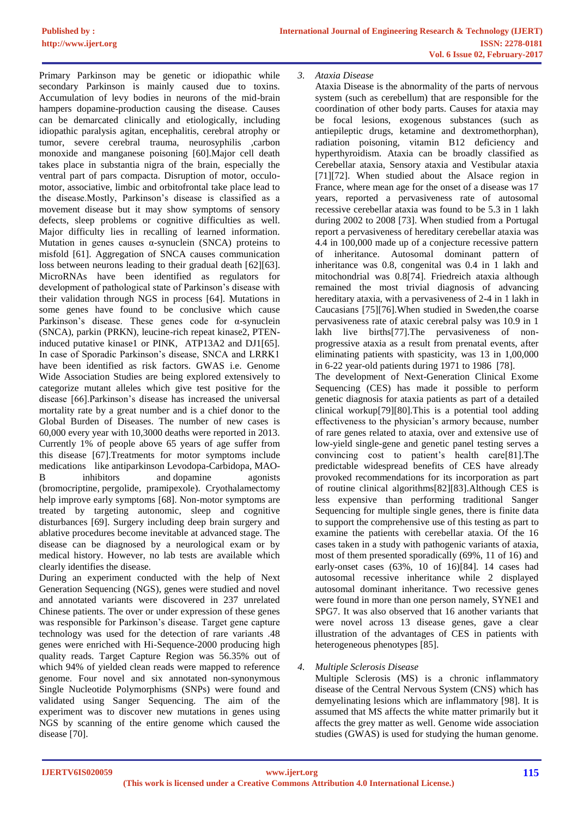Primary Parkinson may be genetic or idiopathic while secondary Parkinson is mainly caused due to toxins. Accumulation of levy bodies in neurons of the mid-brain hampers dopamine-production causing the disease. Causes can be demarcated clinically and etiologically, including idiopathic paralysis agitan, encephalitis, cerebral atrophy or tumor, severe cerebral trauma, neurosyphilis ,carbon monoxide and manganese poisoning [60].Major cell death takes place in substantia nigra of the brain, especially the ventral part of pars compacta. Disruption of motor, occulomotor, associative, limbic and orbitofrontal take place lead to the disease.Mostly, Parkinson's disease is classified as a movement disease but it may show symptoms of sensory defects, sleep problems or cognitive difficulties as well. Major difficulty lies in recalling of learned information. Mutation in genes causes  $\alpha$ -synuclein (SNCA) proteins to misfold [61]. Aggregation of SNCA causes communication loss between neurons leading to their gradual death [62][63]. MicroRNAs have been identified as regulators for development of pathological state of Parkinson's disease with their validation through NGS in process [64]. Mutations in some genes have found to be conclusive which cause Parkinson's disease. These genes code for  $\alpha$ -synuclein (SNCA), parkin (PRKN), leucine-rich repeat kinase2, PTENinduced putative kinase1 or PINK, ATP13A2 and DJ1[65]. In case of Sporadic Parkinson's disease, SNCA and LRRK1 have been identified as risk factors. GWAS i.e. Genome Wide Association Studies are being explored extensively to categorize mutant alleles which give test positive for the disease [66].Parkinson's disease has increased the universal mortality rate by a great number and is a chief donor to the Global Burden of Diseases. The number of new cases is 60,000 every year with 10,3000 deaths were reported in 2013. Currently 1% of people above 65 years of age suffer from this disease [67].Treatments for motor symptoms include medications like antiparkinson Levodopa-Carbidopa, MAO-B inhibitors and dopamine agonists (bromocriptine, pergolide, pramipexole). Cryothalamectomy help improve early symptoms [68]. Non-motor symptoms are treated by targeting autonomic, sleep and cognitive disturbances [69]. Surgery including deep brain surgery and ablative procedures become inevitable at advanced stage. The disease can be diagnosed by a neurological exam or by medical history. However, no lab tests are available which clearly identifies the disease.

During an experiment conducted with the help of Next Generation Sequencing (NGS), genes were studied and novel and annotated variants were discovered in 237 unrelated Chinese patients. The over or under expression of these genes was responsible for Parkinson's disease. Target gene capture technology was used for the detection of rare variants .48 genes were enriched with Hi-Sequence-2000 producing high quality reads. Target Capture Region was 56.35% out of which 94% of yielded clean reads were mapped to reference genome. Four novel and six annotated non-synonymous Single Nucleotide Polymorphisms (SNPs) were found and validated using Sanger Sequencing. The aim of the experiment was to discover new mutations in genes using NGS by scanning of the entire genome which caused the disease [70].

*3. Ataxia Disease*

Ataxia Disease is the abnormality of the parts of nervous system (such as cerebellum) that are responsible for the coordination of other body parts. Causes for ataxia may be focal lesions, exogenous substances (such as antiepileptic drugs, ketamine and dextromethorphan), radiation poisoning, vitamin B12 deficiency and hyperthyroidism. Ataxia can be broadly classified as Cerebellar ataxia, Sensory ataxia and Vestibular ataxia [71][72]. When studied about the Alsace region in France, where mean age for the onset of a disease was 17 years, reported a pervasiveness rate of autosomal recessive cerebellar ataxia was found to be 5.3 in 1 lakh during 2002 to 2008 [73]. When studied from a Portugal report a pervasiveness of hereditary cerebellar ataxia was 4.4 in 100,000 made up of a conjecture recessive pattern of inheritance. Autosomal dominant pattern of inheritance was 0.8, congenital was 0.4 in 1 lakh and mitochondrial was 0.8[74]. Friedreich ataxia although remained the most trivial diagnosis of advancing hereditary ataxia, with a pervasiveness of 2-4 in 1 lakh in Caucasians [75][76].When studied in Sweden,the coarse pervasiveness rate of ataxic cerebral palsy was 10.9 in 1 lakh live births[77].The pervasiveness of nonprogressive ataxia as a result from prenatal events, after eliminating patients with spasticity, was 13 in 1,00,000 in 6-22 year-old patients during 1971 to 1986 [78].

The development of Next-Generation Clinical Exome Sequencing (CES) has made it possible to perform genetic diagnosis for ataxia patients as part of a detailed clinical workup[79][80].This is a potential tool adding effectiveness to the physician's armory because, number of rare genes related to ataxia, over and extensive use of low-yield single-gene and genetic panel testing serves a convincing cost to patient's health care[81].The predictable widespread benefits of CES have already provoked recommendations for its incorporation as part of routine clinical algorithms[82][83].Although CES is less expensive than performing traditional Sanger Sequencing for multiple single genes, there is finite data to support the comprehensive use of this testing as part to examine the patients with cerebellar ataxia. Of the 16 cases taken in a study with pathogenic variants of ataxia, most of them presented sporadically (69%, 11 of 16) and early-onset cases (63%, 10 of 16)[84]. 14 cases had autosomal recessive inheritance while 2 displayed autosomal dominant inheritance. Two recessive genes were found in more than one person namely, SYNE1 and SPG7. It was also observed that 16 another variants that were novel across 13 disease genes, gave a clear illustration of the advantages of CES in patients with heterogeneous phenotypes [85].

*4. Multiple Sclerosis Disease*

Multiple Sclerosis (MS) is a chronic inflammatory disease of the Central Nervous System (CNS) which has demyelinating lesions which are inflammatory [98]. It is assumed that MS affects the white matter primarily but it affects the grey matter as well. Genome wide association studies (GWAS) is used for studying the human genome.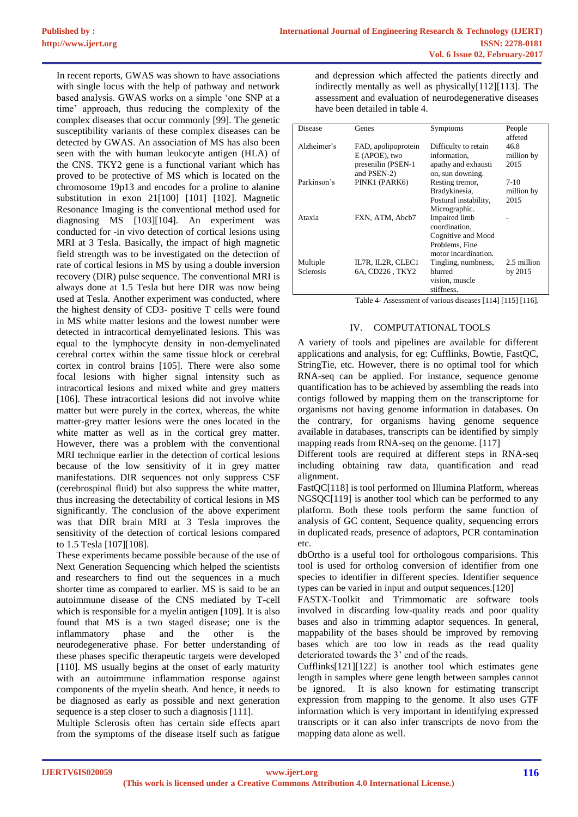In recent reports, GWAS was shown to have associations with single locus with the help of pathway and network based analysis. GWAS works on a simple 'one SNP at a time' approach, thus reducing the complexity of the complex diseases that occur commonly [99]. The genetic susceptibility variants of these complex diseases can be detected by GWAS. An association of MS has also been seen with the with human leukocyte antigen (HLA) of the CNS. TKY2 gene is a functional variant which has proved to be protective of MS which is located on the chromosome 19p13 and encodes for a proline to alanine substitution in exon 21[100] [101] [102]. Magnetic Resonance Imaging is the conventional method used for diagnosing MS [103][104]. An experiment was conducted for -in vivo detection of cortical lesions using MRI at 3 Tesla. Basically, the impact of high magnetic field strength was to be investigated on the detection of rate of cortical lesions in MS by using a double inversion recovery (DIR) pulse sequence. The conventional MRI is always done at 1.5 Tesla but here DIR was now being used at Tesla. Another experiment was conducted, where the highest density of CD3- positive T cells were found in MS white matter lesions and the lowest number were detected in intracortical demyelinated lesions. This was equal to the lymphocyte density in non-demyelinated cerebral cortex within the same tissue block or cerebral cortex in control brains [105]. There were also some focal lesions with higher signal intensity such as intracortical lesions and mixed white and grey matters [106]. These intracortical lesions did not involve white matter but were purely in the cortex, whereas, the white matter-grey matter lesions were the ones located in the white matter as well as in the cortical grey matter. However, there was a problem with the conventional MRI technique earlier in the detection of cortical lesions because of the low sensitivity of it in grey matter manifestations. DIR sequences not only suppress CSF (cerebrospinal fluid) but also suppress the white matter, thus increasing the detectability of cortical lesions in MS significantly. The conclusion of the above experiment was that DIR brain MRI at 3 Tesla improves the sensitivity of the detection of cortical lesions compared to 1.5 Tesla [107][108].

These experiments became possible because of the use of Next Generation Sequencing which helped the scientists and researchers to find out the sequences in a much shorter time as compared to earlier. MS is said to be an autoimmune disease of the CNS mediated by T-cell which is responsible for a myelin antigen [109]. It is also found that MS is a two staged disease; one is the inflammatory phase and the other is the neurodegenerative phase. For better understanding of these phases specific therapeutic targets were developed [110]. MS usually begins at the onset of early maturity with an autoimmune inflammation response against components of the myelin sheath. And hence, it needs to be diagnosed as early as possible and next generation sequence is a step closer to such a diagnosis [111].

Multiple Sclerosis often has certain side effects apart from the symptoms of the disease itself such as fatigue

and depression which affected the patients directly and indirectly mentally as well as physically[112][113]. The assessment and evaluation of neurodegenerative diseases have been detailed in table 4.

| Disease          | Genes               | Symptoms              | People      |
|------------------|---------------------|-----------------------|-------------|
|                  |                     |                       | affeted     |
| Alzheimer's      | FAD, apolipoprotein | Difficulty to retain  | 46.8        |
|                  | E (APOE), two       | information.          | million by  |
|                  | presenilin (PSEN-1) | apathy and exhausti   | 2015        |
|                  | and PSEN-2)         | on, sun downing.      |             |
| Parkinson's      | PINK1 (PARK6)       | Resting tremor,       | $7-10$      |
|                  |                     | Bradykinesia,         | million by  |
|                  |                     | Postural instability, | 2015        |
|                  |                     | Micrographic.         |             |
| Ataxia           | FXN, ATM, Abcb7     | Impaired limb         |             |
|                  |                     | coordination.         |             |
|                  |                     | Cognitive and Mood    |             |
|                  |                     | Problems, Fine        |             |
|                  |                     | motor incardination.  |             |
| Multiple         | IL7R, IL2R, CLEC1   | Tingling, numbness,   | 2.5 million |
| <b>Sclerosis</b> | 6A, CD226, TKY2     | blurred               | by 2015     |
|                  |                     | vision, muscle        |             |
|                  |                     | stiffness.            |             |

Table 4- Assessment of various diseases [114] [115] [116].

## IV. COMPUTATIONAL TOOLS

A variety of tools and pipelines are available for different applications and analysis, for eg: Cufflinks, Bowtie, FastQC, StringTie, etc. However, there is no optimal tool for which RNA-seq can be applied. For instance, sequence genome quantification has to be achieved by assembling the reads into contigs followed by mapping them on the transcriptome for organisms not having genome information in databases. On the contrary, for organisms having genome sequence available in databases, transcripts can be identified by simply mapping reads from RNA-seq on the genome. [117]

Different tools are required at different steps in RNA-seq including obtaining raw data, quantification and read alignment.

FastOC[118] is tool performed on Illumina Platform, whereas NGSOC[119] is another tool which can be performed to any platform. Both these tools perform the same function of analysis of GC content, Sequence quality, sequencing errors in duplicated reads, presence of adaptors, PCR contamination etc.

dbOrtho is a useful tool for orthologous comparisions. This tool is used for ortholog conversion of identifier from one species to identifier in different species. Identifier sequence types can be varied in input and output sequences.[120]

FASTX-Toolkit and Trimmomatic are software tools involved in discarding low-quality reads and poor quality bases and also in trimming adaptor sequences. In general, mappability of the bases should be improved by removing bases which are too low in reads as the read quality deteriorated towards the 3' end of the reads.

Cufflinks[121][122] is another tool which estimates gene length in samples where gene length between samples cannot be ignored. It is also known for estimating transcript expression from mapping to the genome. It also uses GTF information which is very important in identifying expressed transcripts or it can also infer transcripts de novo from the mapping data alone as well.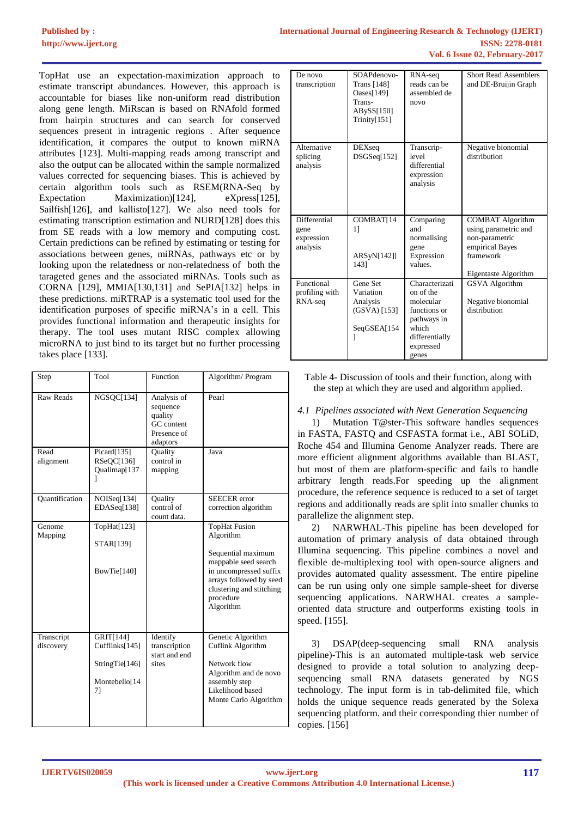TopHat use an expectation-maximization approach to estimate transcript abundances. However, this approach is accountable for biases like non-uniform read distribution along gene length. MiRscan is based on RNAfold formed from hairpin structures and can search for conserved sequences present in intragenic regions . After sequence identification, it compares the output to known miRNA attributes [123]. Multi-mapping reads among transcript and also the output can be allocated within the sample normalized values corrected for sequencing biases. This is achieved by certain algorithm tools such as RSEM(RNA-Seq by Expectation Maximization)[124], eXpress[125], Sailfish[126], and kallisto[127]. We also need tools for estimating transcription estimation and NURD[128] does this from SE reads with a low memory and computing cost. Certain predictions can be refined by estimating or testing for associations between genes, miRNAs, pathways etc or by looking upon the relatedness or non-relatedness of both the tarageted genes and the associated miRNAs. Tools such as CORNA [129], MMIA[130,131] and SePIA[132] helps in these predictions. miRTRAP is a systematic tool used for the identification purposes of specific miRNA's in a cell. This provides functional information and therapeutic insights for therapy. The tool uses mutant RISC complex allowing microRNA to just bind to its target but no further processing takes place [133].

| Step                    | Tool                                                                 | Function                                                                    | Algorithm/Program                                                                                                                                                                          |
|-------------------------|----------------------------------------------------------------------|-----------------------------------------------------------------------------|--------------------------------------------------------------------------------------------------------------------------------------------------------------------------------------------|
| <b>Raw Reads</b>        | NGSQC[134]                                                           | Analysis of<br>sequence<br>quality<br>GC content<br>Presence of<br>adaptors | Pearl                                                                                                                                                                                      |
| Read<br>alignment       | Picard[135]<br>RSeQC[136]<br>Qualimap[137<br>1                       | Quality<br>control in<br>mapping                                            | Java                                                                                                                                                                                       |
| Quantification          | NOISeq[134]<br>EDASeq[138]                                           | Quality<br>control of<br>count data.                                        | <b>SEECER</b> error<br>correction algorithm                                                                                                                                                |
| Genome<br>Mapping       | TopHat[123]<br>STAR[139]<br>BowTie[140]                              |                                                                             | <b>TopHat Fusion</b><br>Algorithm<br>Sequential maximum<br>mappable seed search<br>in uncompressed suffix<br>arrays followed by seed<br>clustering and stitching<br>procedure<br>Algorithm |
| Transcript<br>discovery | GRIT[144]<br>Cufflinks[145]<br>StringTie[146]<br>Montebello[14<br>71 | Identify<br>transcription<br>start and end<br>sites                         | Genetic Algorithm<br>Cuflink Algorithm<br>Network flow<br>Algorithm and de novo<br>assembly step<br>Likelihood based<br>Monte Carlo Algorithm                                              |

| De novo<br>transcription                       | SOAPdenovo-<br>Trans [148]<br>Oases $[149]$<br>Trans-<br>ABySS[150]<br>Trinity[151] | RNA-seq<br>reads can be<br>assembled de<br>novo                                                                          | <b>Short Read Assemblers</b><br>and DE-Bruijin Graph                                                                      |
|------------------------------------------------|-------------------------------------------------------------------------------------|--------------------------------------------------------------------------------------------------------------------------|---------------------------------------------------------------------------------------------------------------------------|
| Alternative<br>splicing<br>analysis            | <b>DEXseq</b><br>DSGSeq[152]                                                        | Transcrip-<br>level<br>differential<br>expression<br>analysis                                                            | Negative bionomial<br>distribution                                                                                        |
| Differential<br>gene<br>expression<br>analysis | COMBAT[14<br>11<br>ARSyN[142]<br>1431                                               | Comparing<br>and<br>normalising<br>gene<br>Expression<br>values.                                                         | <b>COMBAT Algorithm</b><br>using parametric and<br>non-parametric<br>empirical Bayes<br>framework<br>Eigentaste Algorithm |
| Functional<br>profiling with<br>RNA-seq        | Gene Set<br>Variation<br>Analysis<br>$(GSVA)$ [153]<br>SeqGSEA[154                  | Characterizati<br>on of the<br>molecular<br>functions or<br>pathways in<br>which<br>differentially<br>expressed<br>genes | <b>GSVA</b> Algorithm<br>Negative bionomial<br>distribution                                                               |

Table 4- Discussion of tools and their function, along with the step at which they are used and algorithm applied.

## *4.1 Pipelines associated with Next Generation Sequencing*

1) Mutation T@ster-This software handles sequences in FASTA, FASTQ and CSFASTA format i.e., ABI SOLiD, Roche 454 and Illumina Genome Analyzer reads. There are more efficient alignment algorithms available than BLAST, but most of them are platform-specific and fails to handle arbitrary length reads.For speeding up the alignment procedure, the reference sequence is reduced to a set of target regions and additionally reads are split into smaller chunks to parallelize the alignment step.

2) NARWHAL-This pipeline has been developed for automation of primary analysis of data obtained through Illumina sequencing. This pipeline combines a novel and flexible de-multiplexing tool with open-source aligners and provides automated quality assessment. The entire pipeline can be run using only one simple sample-sheet for diverse sequencing applications. NARWHAL creates a sampleoriented data structure and outperforms existing tools in speed. [155].

3) DSAP(deep-sequencing small RNA analysis pipeline)-This is an automated multiple-task web service designed to provide a total solution to analyzing deepsequencing small RNA datasets generated by NGS technology. The input form is in tab-delimited file, which holds the unique sequence reads generated by the Solexa sequencing platform. and their corresponding thier number of copies. [156]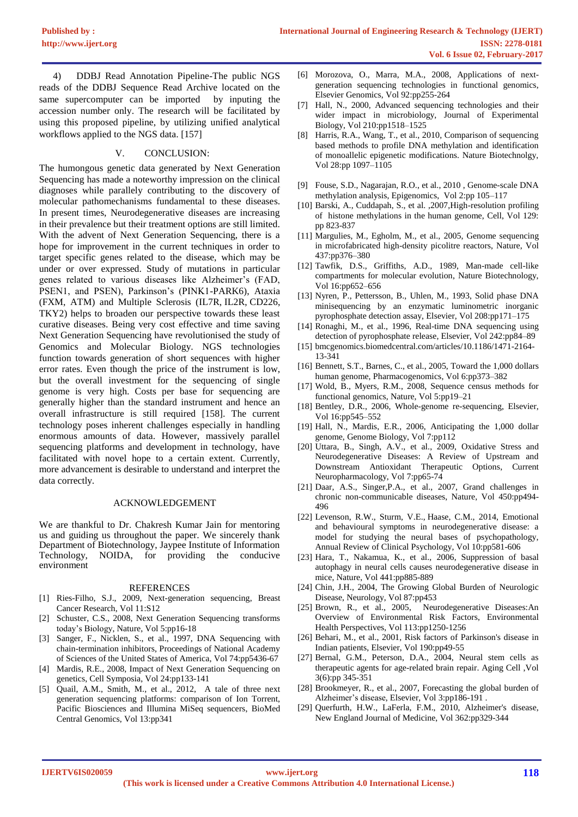4) DDBJ Read Annotation Pipeline-The public NGS reads of the DDBJ Sequence Read Archive located on the same supercomputer can be imported by inputing the accession number only. The research will be facilitated by using this proposed pipeline, by utilizing unified analytical workflows applied to the NGS data. [157]

### V. CONCLUSION:

The humongous genetic data generated by Next Generation Sequencing has made a noteworthy impression on the clinical diagnoses while parallely contributing to the discovery of molecular pathomechanisms fundamental to these diseases. In present times, Neurodegenerative diseases are increasing in their prevalence but their treatment options are still limited. With the advent of Next Generation Sequencing, there is a hope for improvement in the current techniques in order to target specific genes related to the disease, which may be under or over expressed. Study of mutations in particular genes related to various diseases like Alzheimer's (FAD, PSEN1, and PSEN), Parkinson's (PINK1-PARK6), Ataxia (FXM, ATM) and Multiple Sclerosis (IL7R, IL2R, CD226, TKY2) helps to broaden our perspective towards these least curative diseases. Being very cost effective and time saving Next Generation Sequencing have revolutionised the study of Genomics and Molecular Biology. NGS technologies function towards generation of short sequences with higher error rates. Even though the price of the instrument is low, but the overall investment for the sequencing of single genome is very high. Costs per base for sequencing are generally higher than the standard instrument and hence an overall infrastructure is still required [158]. The current technology poses inherent challenges especially in handling enormous amounts of data. However, massively parallel sequencing platforms and development in technology, have facilitated with novel hope to a certain extent. Currently, more advancement is desirable to understand and interpret the data correctly.

#### ACKNOWLEDGEMENT

We are thankful to Dr. Chakresh Kumar Jain for mentoring us and guiding us throughout the paper. We sincerely thank Department of Biotechnology, Jaypee Institute of Information Technology, NOIDA, for providing the conducive environment

#### REFERENCES

- [1] Ries-Filho, S.J., 2009, Next-generation sequencing, Breast Cancer Research, Vol 11:S12
- [2] Schuster, C.S., 2008, Next Generation Sequencing transforms today's Biology, Nature, Vol 5:pp16-18
- [3] Sanger, F., Nicklen, S., et al., 1997, DNA Sequencing with chain-termination inhibitors, Proceedings of National Academy of Sciences of the United States of America, Vol 74:pp5436-67
- [4] Mardis, R.E., 2008, Impact of Next Generation Sequencing on genetics, Cell Symposia, Vol 24:pp133-141
- [5] Quail, A.M., Smith, M., et al., 2012, A tale of three next generation sequencing platforms: comparison of Ion Torrent, Pacific Biosciences and Illumina MiSeq sequencers, BioMed Central Genomics, Vol 13:pp341
- [6] Morozova, O., Marra, M.A., 2008, Applications of nextgeneration sequencing technologies in functional genomics, Elsevier Genomics, Vol 92:pp255-264
- [7] Hall, N., 2000, Advanced sequencing technologies and their wider impact in microbiology, Journal of Experimental Biology, Vol 210:pp1518–1525
- [8] Harris, R.A., Wang, T., et al., 2010, Comparison of sequencing based methods to profile DNA methylation and identification of monoallelic epigenetic modifications. Nature Biotechnolgy, Vol 28:pp 1097–1105
- [9] Fouse, S.D., Nagarajan, R.O., et al., 2010 , Genome-scale DNA methylation analysis, Epigenomics, Vol 2:pp 105–117
- [10] Barski, A., Cuddapah, S., et al. ,2007,High-resolution profiling of histone methylations in the human genome, Cell, Vol 129: pp 823-837
- [11] Margulies, M., Egholm, M., et al., 2005, Genome sequencing in microfabricated high-density picolitre reactors, Nature, Vol 437:pp376–380
- [12] Tawfik, D.S., Griffiths, A.D., 1989, Man-made cell-like compartments for molecular evolution, Nature Biotechnology, Vol 16:pp652–656
- [13] Nyren, P., Pettersson, B., Uhlen, M., 1993, Solid phase DNA minisequencing by an enzymatic luminometric inorganic pyrophosphate detection assay, Elsevier, Vol 208:pp171–175
- [14] Ronaghi, M., et al., 1996, Real-time DNA sequencing using detection of pyrophosphate release, Elsevier, Vol 242:pp84–89
- [15] bmcgenomics.biomedcentral.com/articles/10.1186/1471-2164- 13-341
- [16] Bennett, S.T., Barnes, C., et al., 2005, Toward the 1,000 dollars human genome, Pharmacogenomics, Vol 6:pp373–382
- [17] Wold, B., Myers, R.M., 2008, Sequence census methods for functional genomics, Nature, Vol 5:pp19–21
- [18] Bentley, D.R., 2006, Whole-genome re-sequencing, Elsevier, Vol 16:pp545–552
- [19] Hall, N., Mardis, E.R., 2006, Anticipating the 1,000 dollar genome, Genome Biology, Vol 7:pp112
- [20] Uttara, B., Singh, A.V., et al., 2009, Oxidative Stress and Neurodegenerative Diseases: A Review of Upstream and Downstream Antioxidant Therapeutic Options, Current Neuropharmacology, Vol 7:pp65-74
- [21] Daar, A.S., Singer,P.A., et al., 2007, Grand challenges in chronic non-communicable diseases, Nature, Vol 450:pp494- 496
- [22] Levenson, R.W., Sturm, V.E., Haase, C.M., 2014, Emotional and behavioural symptoms in neurodegenerative disease: a model for studying the neural bases of psychopathology, Annual Review of Clinical Psychology, Vol 10:pp581-606
- [23] Hara, T., Nakamua, K., et al., 2006, Suppression of basal autophagy in neural cells causes neurodegenerative disease in mice, Nature, Vol 441:pp885-889
- [24] Chin, J.H., 2004, The Growing Global Burden of Neurologic Disease, Neurology, Vol 87:pp453
- [25] Brown, R., et al., 2005, Neurodegenerative Diseases:An Overview of Environmental Risk Factors, Environmental Health Perspectives, Vol 113:pp1250-1256
- [26] Behari, M., et al., 2001, Risk factors of Parkinson's disease in Indian patients, Elsevier, Vol 190:pp49-55
- [27] Bernal, G.M., Peterson, D.A., 2004, Neural stem cells as therapeutic agents for age-related brain repair. Aging Cell ,Vol 3(6):pp 345-351
- [28] Brookmeyer, R., et al., 2007, Forecasting the global burden of Alzheimer's disease, Elsevier, Vol 3:pp186-191 .
- [29] Querfurth, H.W., LaFerla, F.M., 2010, Alzheimer's disease, New England Journal of Medicine, Vol 362:pp329-344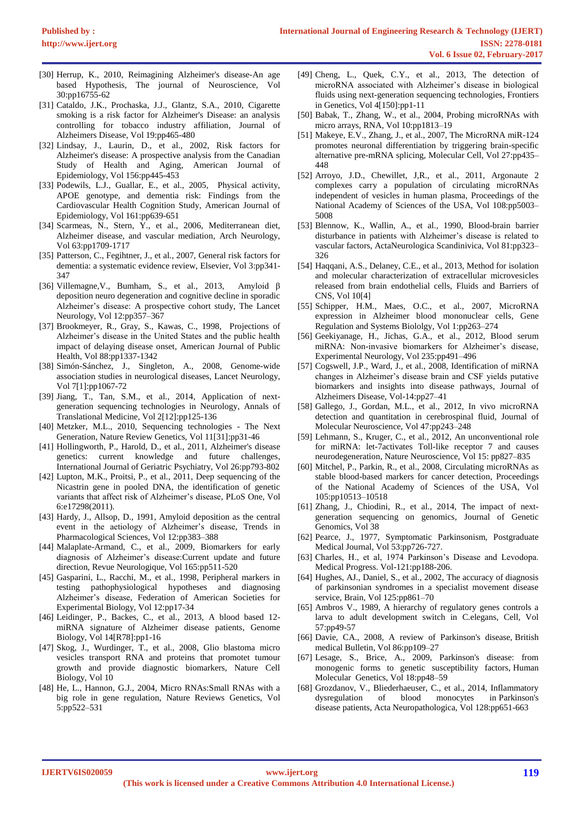- [30] Herrup, K., 2010, Reimagining Alzheimer's disease-An age based Hypothesis, The journal of Neuroscience, Vol 30:pp16755-62
- [31] Cataldo, J.K., Prochaska, J.J., Glantz, S.A., 2010, Cigarette smoking is a risk factor for Alzheimer's Disease: an analysis controlling for tobacco industry affiliation, Journal of Alzheimers Disease, Vol 19:pp465-480
- [32] Lindsay, J., Laurin, D., et al., 2002, Risk factors for Alzheimer's disease: A prospective analysis from the Canadian Study of Health and Aging, American Journal of Epidemiology, Vol 156:pp445-453
- [33] Podewils, L.J., Guallar, E., et al., 2005, Physical activity, APOE genotype, and dementia risk: Findings from the Cardiovascular Health Cognition Study, American Journal of Epidemiology, Vol 161:pp639-651
- [34] Scarmeas, N., Stern, Y., et al., 2006, Mediterranean diet, Alzheimer disease, and vascular mediation, Arch Neurology, Vol 63:pp1709-1717
- [35] Patterson, C., Fegihtner, J., et al., 2007, General risk factors for dementia: a systematic evidence review, Elsevier, Vol 3:pp341- 347
- [36] Villemagne,V., Bumham, S., et al., 2013, Amyloid β deposition neuro degeneration and cognitive decline in sporadic Alzheimer's disease: A prospective cohort study, The Lancet Neurology, Vol 12:pp357–367
- [37] Brookmeyer, R., Gray, S., Kawas, C., 1998, Projections of Alzheimer's disease in the United States and the public health impact of delaying disease onset, American Journal of Public Health, Vol 88:pp1337-1342
- [38] Simón-Sánchez, J., Singleton, A., 2008, Genome-wide association studies in neurological diseases, Lancet Neurology, Vol 7[1]:pp1067-72
- [39] Jiang, T., Tan, S.M., et al., 2014, Application of nextgeneration sequencing technologies in Neurology, Annals of Translational Medicine, Vol 2[12]:pp125-136
- [40] Metzker, M.L., 2010, Sequencing technologies The Next Generation, Nature Review Genetics, Vol 11[31]:pp31-46
- [41] Hollingworth, P., Harold, D., et al., 2011, Alzheimer's disease genetics: current knowledge and future challenges, International Journal of Geriatric Psychiatry, Vol 26:pp793-802
- [42] Lupton, M.K., Proitsi, P., et al., 2011, Deep sequencing of the Nicastrin gene in pooled DNA, the identification of genetic variants that affect risk of Alzheimer's disease, PLoS One, Vol 6:e17298(2011).
- [43] Hardy, J., Allsop, D., 1991, Amyloid deposition as the central event in the aetiology of Alzheimer's disease, Trends in Pharmacological Sciences, Vol 12:pp383–388
- [44] Malaplate-Armand, C., et al., 2009, Biomarkers for early diagnosis of Alzheimer's disease:Current update and future direction, Revue Neurologique, Vol 165:pp511-520
- [45] Gasparini, L., Racchi, M., et al., 1998, Peripheral markers in testing pathophysiological hypotheses and diagnosing Alzheimer's disease, Federation of American Societies for Experimental Biology, Vol 12:pp17-34
- [46] Leidinger, P., Backes, C., et al., 2013, A blood based 12 miRNA signature of Alzheimer disease patients, Genome Biology, Vol 14[R78]:pp1-16
- [47] Skog, J., Wurdinger, T., et al., 2008, Glio blastoma micro vesicles transport RNA and proteins that promotet tumour growth and provide diagnostic biomarkers, Nature Cell Biology, Vol 10
- [48] He, L., Hannon, G.J., 2004, Micro RNAs:Small RNAs with a big role in gene regulation, Nature Reviews Genetics, Vol 5:pp522–531
- [49] Cheng, L., Quek, C.Y., et al., 2013, The detection of microRNA associated with Alzheimer's disease in biological fluids using next-generation sequencing technologies, Frontiers in Genetics, Vol 4[150]:pp1-11
- [50] Babak, T., Zhang, W., et al., 2004, Probing microRNAs with micro arrays, RNA, Vol 10:pp1813–19
- [51] Makeye, E.V., Zhang, J., et al., 2007, The MicroRNA miR-124 promotes neuronal differentiation by triggering brain-specific alternative pre-mRNA splicing, Molecular Cell, Vol 27:pp435– 448
- [52] Arroyo, J.D., Chewillet, J,R., et al., 2011, Argonaute 2 complexes carry a population of circulating microRNAs independent of vesicles in human plasma, Proceedings of the National Academy of Sciences of the USA, Vol 108:pp5003– 5008
- [53] Blennow, K., Wallin, A., et al., 1990, Blood-brain barrier disturbance in patients with Alzheimer's disease is related to vascular factors, ActaNeurologica Scandinivica, Vol 81:pp323– 326
- [54] Haqqani, A.S., Delaney, C.E., et al., 2013, Method for isolation and molecular characterization of extracellular microvesicles released from brain endothelial cells, Fluids and Barriers of CNS, Vol 10[4]
- [55] Schipper, H.M., Maes, O.C., et al., 2007, MicroRNA expression in Alzheimer blood mononuclear cells, Gene Regulation and Systems Biololgy, Vol 1:pp263–274
- [56] Geekiyanage, H., Jichas, G.A., et al., 2012, Blood serum miRNA: Non-invasive biomarkers for Alzheimer's disease, Experimental Neurology, Vol 235:pp491–496
- [57] Cogswell, J.P., Ward, J., et al., 2008, Identification of miRNA changes in Alzheimer's disease brain and CSF yields putative biomarkers and insights into disease pathways, Journal of Alzheimers Disease, Vol-14:pp27–41
- [58] Gallego, J., Gordan, M.L., et al., 2012, In vivo microRNA detection and quantitation in cerebrospinal fluid, Journal of Molecular Neuroscience, Vol 47:pp243–248
- [59] Lehmann, S., Kruger, C., et al., 2012, An unconventional role for miRNA: let-7activates Toll-like receptor 7 and causes neurodegeneration, Nature Neuroscience, Vol 15: pp827–835
- [60] Mitchel, P., Parkin, R., et al., 2008, Circulating microRNAs as stable blood-based markers for cancer detection, Proceedings of the National Academy of Sciences of the USA, Vol 105:pp10513–10518
- [61] Zhang, J., Chiodini, R., et al., 2014, The impact of nextgeneration sequencing on genomics, Journal of Genetic Genomics, Vol 38
- [62] Pearce, J., 1977, Symptomatic Parkinsonism, Postgraduate Medical Journal, Vol 53:pp726-727.
- [63] Charles, H., et al, 1974 Parkinson's Disease and Levodopa. Medical Progress. Vol-121:pp188-206.
- [64] Hughes, AJ., Daniel, S., et al., 2002, The accuracy of diagnosis of parkinsonian syndromes in a specialist movement disease service, Brain, Vol 125:pp861–70
- [65] Ambros V., 1989, A hierarchy of regulatory genes controls a larva to adult development switch in C.elegans, Cell, Vol 57:pp49-57
- [66] Davie, CA., 2008, A review of Parkinson's disease, British medical Bulletin, Vol 86:pp109–27
- [67] Lesage, S., Brice, A., 2009, Parkinson's disease: from monogenic forms to genetic susceptibility factors, Human Molecular Genetics, Vol 18:pp48–59
- [68] Grozdanov, V., Bliederhaeuser, C., et al., 2014, Inflammatory dysregulation of blood monocytes in Parkinson's disease patients, Acta Neuropathologica, Vol 128:pp651-663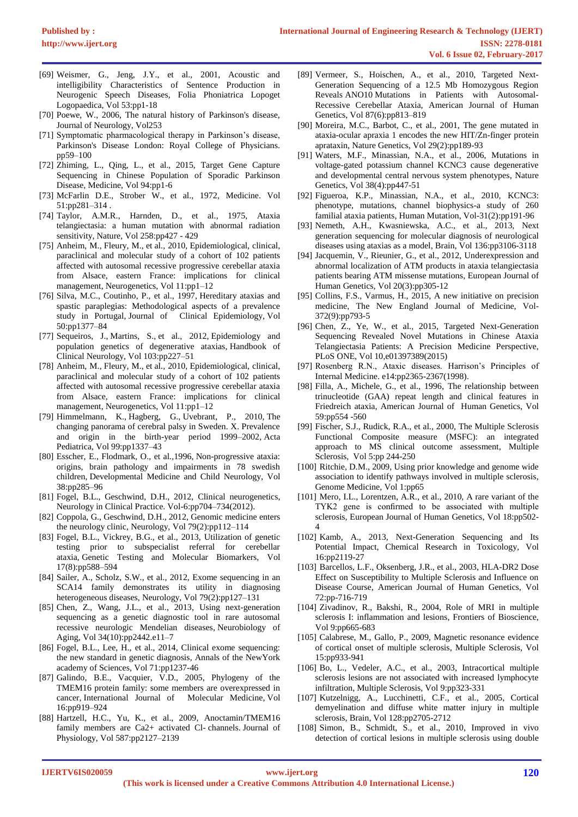- [69] Weismer, G., Jeng, J.Y., et al., 2001, Acoustic and intelligibility Characteristics of Sentence Production in Neurogenic Speech Diseases, Folia Phoniatrica Lopoget Logopaedica, Vol 53:pp1-18
- [70] Poewe, W., 2006, The natural history of Parkinson's disease, Journal of Neurology, Vol253
- [71] Symptomatic pharmacological therapy in Parkinson's disease, Parkinson's Disease London: Royal College of Physicians. pp59–100
- [72] Zhiming, L., Qing, L., et al., 2015, Target Gene Capture Sequencing in Chinese Population of Sporadic Parkinson Disease, Medicine, Vol 94:pp1-6
- [73] McFarlin D.E., Strober W., et al., 1972, Medicine. Vol 51:pp281–314 .
- [74] Taylor, A.M.R., Harnden, D., et al., 1975, Ataxia telangiectasia: a human mutation with abnormal radiation sensitivity, Nature, Vol 258:pp427 - 429
- [75] Anheim, M., Fleury, M., et al., 2010, Epidemiological, clinical, paraclinical and molecular study of a cohort of 102 patients affected with autosomal recessive progressive cerebellar ataxia from Alsace, eastern France: implications for clinical management, Neurogenetics, Vol 11:pp1–12
- [76] Silva, M.C., Coutinho, P., et al., 1997, Hereditary ataxias and spastic paraplegias: Methodological aspects of a prevalence study in Portugal, Journal of Clinical Epidemiology, Vol 50:pp1377–84
- [77] Sequeiros, J., Martins, S., et al., 2012, Epidemiology and population genetics of degenerative ataxias, Handbook of Clinical Neurology, Vol 103:pp227–51
- [78] Anheim, M., Fleury, M., et al., 2010, Epidemiological, clinical, paraclinical and molecular study of a cohort of 102 patients affected with autosomal recessive progressive cerebellar ataxia from Alsace, eastern France: implications for clinical management, Neurogenetics, Vol 11:pp1–12
- [79] Himmelmann, K., Hagberg, G., Uvebrant, P., 2010, The changing panorama of cerebral palsy in Sweden. X. Prevalence and origin in the birth-year period 1999–2002, Acta Pediatrica, Vol 99:pp1337–43
- [80] Esscher, E., Flodmark, O., et al.,1996, Non-progressive ataxia: origins, brain pathology and impairments in 78 swedish children, Developmental Medicine and Child Neurology, Vol 38:pp285–96
- [81] Fogel, B.L., Geschwind, D.H., 2012, Clinical neurogenetics, Neurology in Clinical Practice. Vol-6:pp704–734(2012).
- [82] Coppola, G., Geschwind, D.H., 2012, Genomic medicine enters the neurology clinic, Neurology, Vol 79(2):pp112–114
- [83] Fogel, B.L., Vickrey, B.G., et al., 2013, Utilization of genetic testing prior to subspecialist referral for cerebellar ataxia, Genetic Testing and Molecular Biomarkers, Vol 17(8):pp588–594
- [84] Sailer, A., Scholz, S.W., et al., 2012, Exome sequencing in an SCA14 family demonstrates its utility in diagnosing heterogeneous diseases, Neurology, Vol 79(2):pp127–131
- [85] Chen, Z., Wang, J.L., et al., 2013, Using next-generation sequencing as a genetic diagnostic tool in rare autosomal recessive neurologic Mendelian diseases, Neurobiology of Aging, Vol 34(10):pp2442.e11–7
- [86] Fogel, B.L., Lee, H., et al., 2014, Clinical exome sequencing: the new standard in genetic diagnosis, Annals of the NewYork academy of Sciences, Vol 71:pp1237-46
- [87] Galindo, B.E., Vacquier, V.D., 2005, Phylogeny of the TMEM16 protein family: some members are overexpressed in cancer, International Journal of Molecular Medicine, Vol 16:pp919–924
- [88] Hartzell, H.C., Yu, K., et al., 2009, Anoctamin/TMEM16 family members are Ca2+ activated Cl- channels. Journal of Physiology, Vol 587:pp2127–2139
- [89] Vermeer, S., Hoischen, A., et al., 2010, Targeted Next-Generation Sequencing of a 12.5 Mb Homozygous Region Reveals ANO10 Mutations in Patients with Autosomal-Recessive Cerebellar Ataxia, American Journal of Human Genetics, Vol 87(6):pp813–819
- [90] Moreira, M.C., Barbot, C., et al., 2001, The gene mutated in ataxia-ocular apraxia 1 encodes the new HIT/Zn-finger protein aprataxin, Nature Genetics, Vol 29(2):pp189-93
- [91] Waters, M.F., Minassian, N.A., et al., 2006, Mutations in voltage-gated potassium channel KCNC3 cause degenerative and developmental central nervous system phenotypes, Nature Genetics, Vol 38(4):pp447-51
- [92] Figueroa, K.P., Minassian, N.A., et al., 2010, KCNC3: phenotype, mutations, channel biophysics-a study of 260 familial ataxia patients, Human Mutation, Vol-31(2):pp191-96
- [93] Nemeth, A.H., Kwasniewska, A.C., et al., 2013, Next generation sequencing for molecular diagnosis of neurological diseases using ataxias as a model, Brain, Vol 136:pp3106-3118
- [94] Jacquemin, V., Rieunier, G., et al., 2012, Underexpression and abnormal localization of ATM products in ataxia telangiectasia patients bearing ATM missense mutations, European Journal of Human Genetics, Vol 20(3):pp305-12
- [95] Collins, F.S., Varmus, H., 2015, A new initiative on precision medicine, The New England Journal of Medicine, Vol-372(9):pp793-5
- [96] Chen, Z., Ye, W., et al., 2015, Targeted Next-Generation Sequencing Revealed Novel Mutations in Chinese Ataxia Telangiectasia Patients: A Precision Medicine Perspective, PLoS ONE, Vol 10,e01397389(2015)
- [97] Rosenberg R.N., Ataxic diseases. Harrison's Principles of Internal Medicine. e14:pp2365-2367(1998).
- [98] Filla, A., Michele, G., et al., 1996, The relationship between trinucleotide (GAA) repeat length and clinical features in Friedreich ataxia, American Journal of Human Genetics, Vol 59:pp554 -560
- [99] Fischer, S.J., Rudick, R.A., et al., 2000, The Multiple Sclerosis Functional Composite measure (MSFC): an integrated approach to MS clinical outcome assessment, Multiple Sclerosis, Vol 5:pp 244-250
- [100] Ritchie, D.M., 2009, Using prior knowledge and genome wide association to identify pathways involved in multiple sclerosis, Genome Medicine, Vol 1:pp65
- [101] Mero, I.L., Lorentzen, A.R., et al., 2010, A rare variant of the TYK2 gene is confirmed to be associated with multiple sclerosis, European Journal of Human Genetics, Vol 18:pp502- 4
- [102] Kamb, A., 2013, Next-Generation Sequencing and Its Potential Impact, Chemical Research in Toxicology, Vol 16:pp2119-27
- [103] Barcellos, L.F., Oksenberg, J.R., et al., 2003, HLA-DR2 Dose Effect on Susceptibility to Multiple Sclerosis and Influence on Disease Course, American Journal of Human Genetics, Vol 72:pp-716-719
- [104] Zivadinov, R., Bakshi, R., 2004, Role of MRI in multiple sclerosis I: inflammation and lesions, Frontiers of Bioscience, Vol 9:pp665-683
- [105] Calabrese, M., Gallo, P., 2009, Magnetic resonance evidence of cortical onset of multiple sclerosis, Multiple Sclerosis, Vol 15:pp933-941
- [106] Bo, L., Vedeler, A.C., et al., 2003, Intracortical multiple sclerosis lesions are not associated with increased lymphocyte infiltration, Multiple Sclerosis, Vol 9:pp323-331
- [107] Kutzelnigg, A., Lucchinetti, C.F., et al., 2005, Cortical demyelination and diffuse white matter injury in multiple sclerosis, Brain, Vol 128:pp2705-2712
- [108] Simon, B., Schmidt, S., et al., 2010, Improved in vivo detection of cortical lesions in multiple sclerosis using double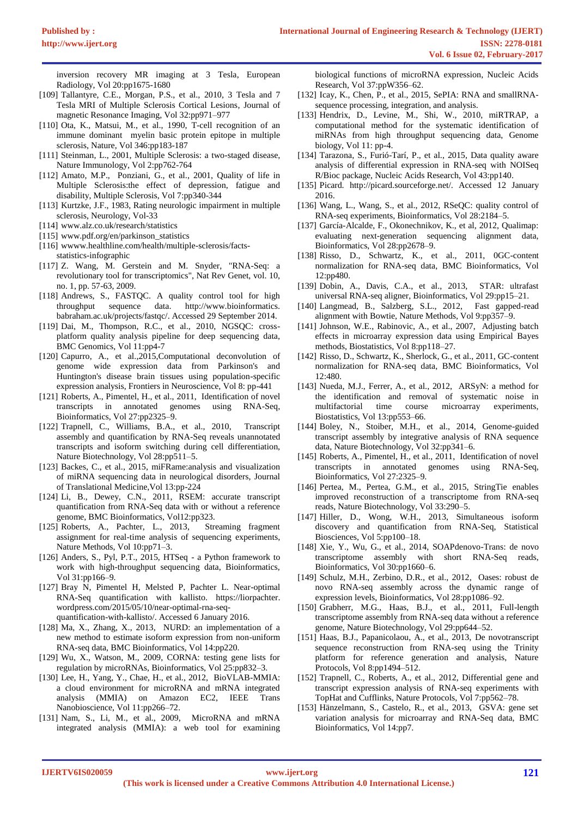inversion recovery MR imaging at 3 Tesla, European Radiology, Vol 20:pp1675-1680

- [109] Tallantyre, C.E., Morgan, P.S., et al., 2010, 3 Tesla and 7 Tesla MRI of Multiple Sclerosis Cortical Lesions, Journal of magnetic Resonance Imaging, Vol 32:pp971–977
- [110] Ota, K., Matsui, M., et al., 1990, T-cell recognition of an immune dominant myelin basic protein epitope in multiple sclerosis, Nature, Vol 346:pp183-187
- [111] Steinman, L., 2001, Multiple Sclerosis: a two-staged disease, Nature Immunology, Vol 2:pp762-764
- [112] Amato, M.P., Ponziani, G., et al., 2001, Quality of life in Multiple Sclerosis:the effect of depression, fatigue and disability, Multiple Sclerosis, Vol 7:pp340-344
- [113] Kurtzke, J.F., 1983, Rating neurologic impairment in multiple sclerosis, Neurology, Vol-33
- [114] www.alz.co.uk/research/statistics
- [115] www.pdf.org/en/parkinson\_statistics
- [116] wwww.healthline.com/health/multiple-sclerosis/factsstatistics-infographic
- [117] Z. Wang, M. Gerstein and M. Snyder, "RNA-Seq: a revolutionary tool for transcriptomics", Nat Rev Genet, vol. 10, no. 1, pp. 57-63, 2009.
- [118] Andrews, S., FASTQC. A quality control tool for high throughput sequence data. http://www.bioinformatics. babraham.ac.uk/projects/fastqc/. Accessed 29 September 2014.
- [119] Dai, M., Thompson, R.C., et al., 2010, NGSQC: crossplatform quality analysis pipeline for deep sequencing data, BMC Genomics, Vol 11:pp4-7
- [120] Capurro, A., et al., 2015, Computational deconvolution of genome wide expression data from Parkinson's and Huntington's disease brain tissues using population-specific expression analysis, Frontiers in Neuroscience, Vol 8: pp-441
- [121] Roberts, A., Pimentel, H., et al., 2011, Identification of novel transcripts in annotated genomes using RNA-Seq, Bioinformatics, Vol 27:pp2325–9.
- [122] Trapnell, C., Williams, B.A., et al., 2010, Transcript assembly and quantification by RNA-Seq reveals unannotated transcripts and isoform switching during cell differentiation, Nature Biotechnology, Vol 28:pp511–5.
- [123] Backes, C., et al., 2015, miFRame:analysis and visualization of miRNA sequencing data in neurological disorders, Journal of Translational Medicine,Vol 13:pp-224
- [124] Li, B., Dewey, C.N., 2011, RSEM: accurate transcript quantification from RNA-Seq data with or without a reference genome, BMC Bioinformatics, Vol12:pp323.<br>[ Roberts, A., Pachter, L., 2013, Streaming fragment
- $[125]$  Roberts, A., Pachter, L., 2013, assignment for real-time analysis of sequencing experiments, Nature Methods, Vol 10:pp71–3.
- [126] Anders, S., Pyl, P.T., 2015, HTSeq a Python framework to work with high-throughput sequencing data, Bioinformatics, Vol 31:pp166–9.
- [127] Bray N, Pimentel H, Melsted P, Pachter L. Near-optimal RNA-Seq quantification with kallisto. https://liorpachter. wordpress.com/2015/05/10/near-optimal-rna-seqquantification-with-kallisto/. Accessed 6 January 2016.
- [128] Ma, X., Zhang, X., 2013, NURD: an implementation of a new method to estimate isoform expression from non-uniform RNA-seq data, BMC Bioinformatics, Vol 14:pp220.
- [129] Wu, X., Watson, M., 2009, CORNA: testing gene lists for regulation by microRNAs, Bioinformatics, Vol 25:pp832–3.
- [130] Lee, H., Yang, Y., Chae, H., et al., 2012, BioVLAB-MMIA: a cloud environment for microRNA and mRNA integrated analysis (MMIA) on Amazon EC2, IEEE Trans Nanobioscience, Vol 11:pp266–72.
- [131] Nam, S., Li, M., et al., 2009, MicroRNA and mRNA integrated analysis (MMIA): a web tool for examining

biological functions of microRNA expression, Nucleic Acids Research, Vol 37:ppW356–62.

- [132] Icay, K., Chen, P., et al., 2015, SePIA: RNA and smallRNAsequence processing, integration, and analysis.
- [133] Hendrix, D., Levine, M., Shi, W., 2010, miRTRAP, a computational method for the systematic identification of miRNAs from high throughput sequencing data, Genome biology, Vol 11: pp-4.
- [134] Tarazona, S., Furió-Tarí, P., et al., 2015, Data quality aware analysis of differential expression in RNA-seq with NOISeq R/Bioc package, Nucleic Acids Research, Vol 43:pp140.
- [135] Picard. http://picard.sourceforge.net/. Accessed 12 January 2016.
- [136] Wang, L., Wang, S., et al., 2012, RSeQC: quality control of RNA-seq experiments, Bioinformatics, Vol 28:2184–5.
- [137] García-Alcalde, F., Okonechnikov, K., et al, 2012, Qualimap: evaluating next-generation sequencing alignment data, Bioinformatics, Vol 28:pp2678–9.
- [138] Risso, D., Schwartz, K., et al., 2011, 0GC-content normalization for RNA-seq data, BMC Bioinformatics, Vol 12:pp480.
- [139] Dobin, A., Davis, C.A., et al., 2013, STAR: ultrafast universal RNA-seq aligner, Bioinformatics, Vol 29:pp15–21.
- [140] Langmead, B., Salzberg, S.L., 2012, Fast gapped-read alignment with Bowtie, Nature Methods, Vol 9:pp357–9.
- [141] Johnson, W.E., Rabinovic, A., et al., 2007, Adjusting batch effects in microarray expression data using Empirical Bayes methods, Biostatistics, Vol 8:pp118–27.
- [142] Risso, D., Schwartz, K., Sherlock, G., et al., 2011, GC-content normalization for RNA-seq data, BMC Bioinformatics, Vol 12:480.
- [143] Nueda, M.J., Ferrer, A., et al., 2012, ARSyN: a method for the identification and removal of systematic noise in multifactorial time course microarray experiments, Biostatistics, Vol 13:pp553–66.
- [144] Boley, N., Stoiber, M.H., et al., 2014, Genome-guided transcript assembly by integrative analysis of RNA sequence data, Nature Biotechnology, Vol 32:pp341–6.
- [145] Roberts, A., Pimentel, H., et al., 2011, Identification of novel transcripts in annotated genomes using RNA-Seq, Bioinformatics, Vol 27:2325–9.
- [146] Pertea, M., Pertea, G.M., et al., 2015, StringTie enables improved reconstruction of a transcriptome from RNA-seq reads, Nature Biotechnology, Vol 33:290–5.
- [147] Hiller, D., Wong, W.H., 2013, Simultaneous isoform discovery and quantification from RNA-Seq, Statistical Biosciences, Vol 5:pp100–18.
- [148] Xie, Y., Wu, G., et al., 2014, SOAPdenovo-Trans: de novo transcriptome assembly with short RNA-Seq reads, Bioinformatics, Vol 30:pp1660–6.
- [149] Schulz, M.H., Zerbino, D.R., et al., 2012, Oases: robust de novo RNA-seq assembly across the dynamic range of expression levels, Bioinformatics, Vol 28:pp1086–92.
- [150] Grabherr, M.G., Haas, B.J., et al., 2011, Full-length transcriptome assembly from RNA-seq data without a reference genome, Nature Biotechnology, Vol 29:pp644–52.
- [151] Haas, B.J., Papanicolaou, A., et al., 2013, De novotranscript sequence reconstruction from RNA-seq using the Trinity platform for reference generation and analysis, Nature Protocols, Vol 8:pp1494–512.
- [152] Trapnell, C., Roberts, A., et al., 2012, Differential gene and transcript expression analysis of RNA-seq experiments with TopHat and Cufflinks, Nature Protocols, Vol 7:pp562–78.
- [153] Hänzelmann, S., Castelo, R., et al., 2013, GSVA: gene set variation analysis for microarray and RNA-Seq data, BMC Bioinformatics, Vol 14:pp7.